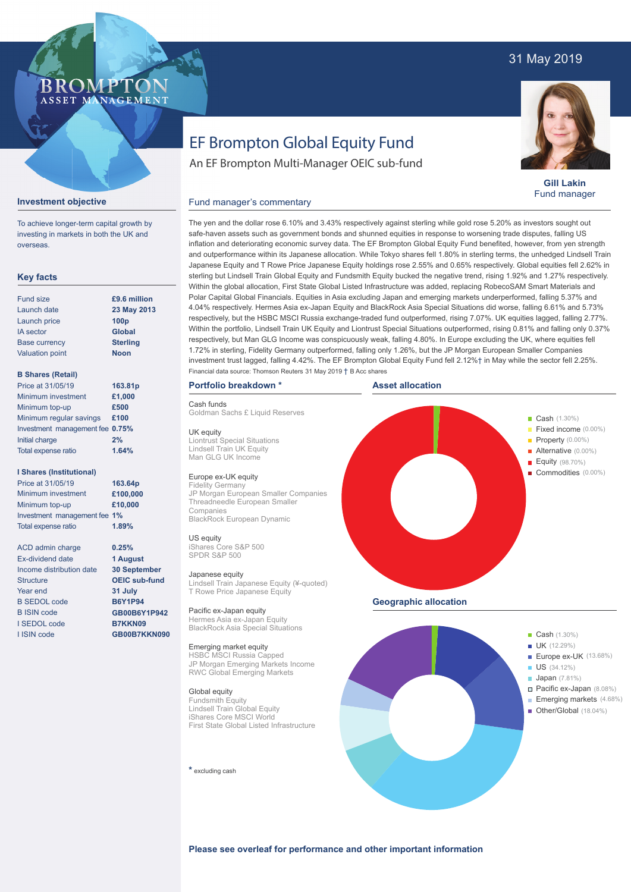# 31 May 2019

# **BROMP** ASSET MANAGEMENT

**Gill Lakin** Fund manager

# EF Brompton Global Equity Fund

An EF Brompton Multi-Manager OEIC sub-fund

# **Investment objective**

To achieve longer-term capital growth by investing in markets in both the UK and overseas.

# **Key facts**

| <b>Fund size</b>       | £9.6 million     |
|------------------------|------------------|
| Launch date            | 23 May 2013      |
| Launch price           | 100 <sub>p</sub> |
| <b>IA</b> sector       | <b>Global</b>    |
| <b>Base currency</b>   | <b>Sterling</b>  |
| <b>Valuation point</b> | <b>Noon</b>      |
|                        |                  |

### **B Shares (Retail)**

| Price at 31/05/19               | 163.81p |
|---------------------------------|---------|
| Minimum investment              | £1,000  |
| Minimum top-up                  | £500    |
| Minimum regular savings         | £100    |
| Investment management fee 0.75% |         |
| Initial charge                  | 2%      |
| Total expense ratio             | 1.64%   |
|                                 |         |

### **I Shares (Institutional)**

Minimum investment Minimum top-up Investment management fee **1%** Total expense ratio **£100,000 £10,000** Price at 31/05/19 **163.64p 1.89%**

ACD admin charge Ex-dividend date Income distribution date Structure Year end B SEDOL code B ISIN code I SEDOL code I ISIN code

**0.25% 1 August 30 September OEIC sub-fund 31 July B6Y1P94 GB00B6Y1P942 B7KKN09 GB00B7KKN090**

safe-haven assets such as government bonds and shunned equities in response to worsening trade disputes, falling US inflation and deteriorating economic survey data. The EF Brompton Global Equity Fund benefited, however, from yen strength and outperformance within its Japanese allocation. While Tokyo shares fell 1.80% in sterling terms, the unhedged Lindsell Train Japanese Equity and T Rowe Price Japanese Equity holdings rose 2.55% and 0.65% respectively. Global equities fell 2.62% in sterling but Lindsell Train Global Equity and Fundsmith Equity bucked the negative trend, rising 1.92% and 1.27% respectively. Within the global allocation, First State Global Listed Infrastructure was added, replacing RobecoSAM Smart Materials and Polar Capital Global Financials. Equities in Asia excluding Japan and emerging markets underperformed, falling 5.37% and 4.04% respectively. Hermes Asia ex-Japan Equity and BlackRock Asia Special Situations did worse, falling 6.61% and 5.73% respectively, but the HSBC MSCI Russia exchange-traded fund outperformed, rising 7.07%. UK equities lagged, falling 2.77%. Within the portfolio, Lindsell Train UK Equity and Liontrust Special Situations outperformed, rising 0.81% and falling only 0.37% respectively, but Man GLG Income was conspicuously weak, falling 4.80%. In Europe excluding the UK, where equities fell 1.72% in sterling, Fidelity Germany outperformed, falling only 1.26%, but the JP Morgan European Smaller Companies investment trust lagged, falling 4.42%. The EF Brompton Global Equity Fund fell 2.12%† in May while the sector fell 2.25%. Financial data source: Thomson Reuters 31 May 2019 † B Acc shares

The yen and the dollar rose 6.10% and 3.43% respectively against sterling while gold rose 5.20% as investors sought out

# **Portfolio breakdown \***

Cash funds

Goldman Sachs £ Liquid Reserves

UK equity Liontrust Special Situations Lindsell Train UK Equity Man GLG UK Income

# Europe ex-UK equity

Fidelity Germany JP Morgan European Smaller Companies Threadneedle European Smaller Companies BlackRock European Dynamic

US equity iShares Core S&P 500 SPDR S&P 500

Japanese equity Lindsell Train Japanese Equity (¥-quoted) T Rowe Price Japanese Equity

Pacific ex-Japan equity Hermes Asia ex-Japan Equity BlackRock Asia Special Situations

Emerging market equity HSBC MSCI Russia Capped JP Morgan Emerging Markets Income RWC Global Emerging Markets

### Global equity

Fundsmith Equity Lindsell Train Global Equity iShares Core MSCI World First State Global Listed Infrastructure

**\*** excluding cash





**Please see overleaf for performance and other important information**

Fund manager's commentary